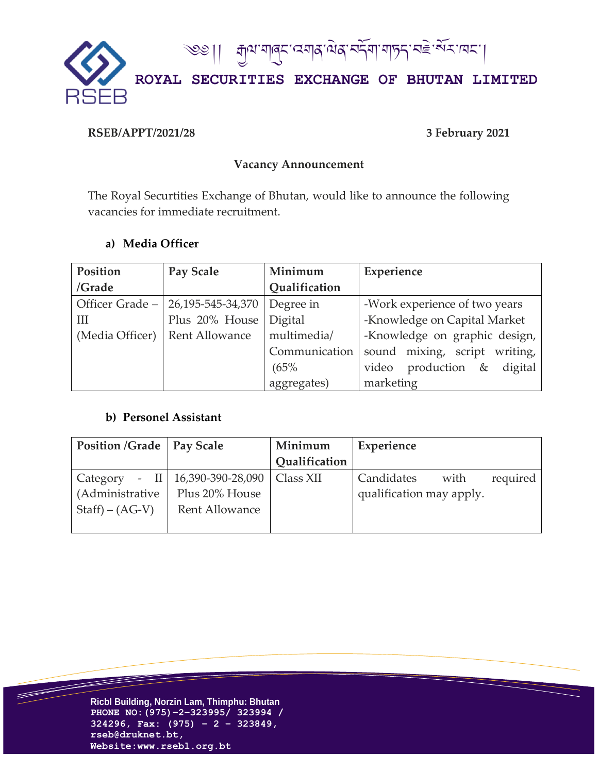

## **RSEB/APPT/2021/28 3 February 2021**

## **Vacancy Announcement**

The Royal Securtities Exchange of Bhutan, would like to announce the following vacancies for immediate recruitment.

# **a) Media Officer**

| Position        | Pay Scale             | Minimum        | Experience                          |
|-----------------|-----------------------|----------------|-------------------------------------|
| /Grade          |                       | Qualification  |                                     |
| Officer Grade - | 26,195-545-34,370     | Degree in      | -Work experience of two years       |
| Ш               | Plus 20% House        | <b>Digital</b> | -Knowledge on Capital Market        |
| (Media Officer) | <b>Rent Allowance</b> | multimedia/    | -Knowledge on graphic design,       |
|                 |                       | Communication  | sound mixing, script writing,       |
|                 |                       | (65%           | video production<br>$\&$<br>digital |
|                 |                       | aggregates)    | marketing                           |

# **b) Personel Assistant**

| <b>Position /Grade   Pay Scale</b> |                                        | Minimum       | Experience               |      |          |
|------------------------------------|----------------------------------------|---------------|--------------------------|------|----------|
|                                    |                                        | Qualification |                          |      |          |
| Category                           | - II   $16,390-390-28,090$   Class XII |               | Candidates               | with | required |
| (Administrative                    | Plus 20% House                         |               | qualification may apply. |      |          |
| $Staff) - (AG-V)$                  | Rent Allowance                         |               |                          |      |          |
|                                    |                                        |               |                          |      |          |



 $\overline{\phantom{a}}$